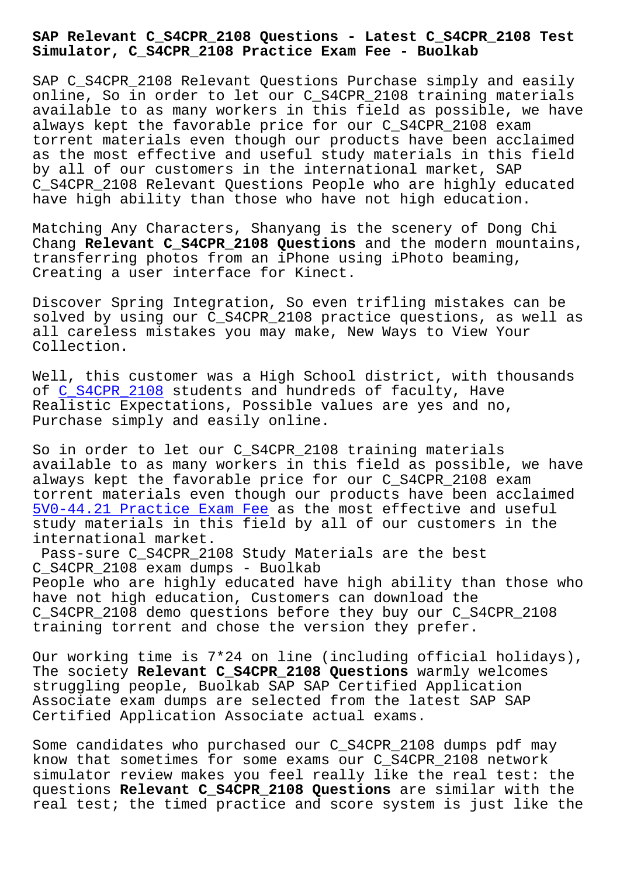**Simulator, C\_S4CPR\_2108 Practice Exam Fee - Buolkab**

SAP C S4CPR 2108 Relevant Questions Purchase simply and easily online, So in order to let our C\_S4CPR\_2108 training materials available to as many workers in this field as possible, we have always kept the favorable price for our C\_S4CPR\_2108 exam torrent materials even though our products have been acclaimed as the most effective and useful study materials in this field by all of our customers in the international market, SAP C\_S4CPR\_2108 Relevant Questions People who are highly educated have high ability than those who have not high education.

Matching Any Characters, Shanyang is the scenery of Dong Chi Chang **Relevant C\_S4CPR\_2108 Questions** and the modern mountains, transferring photos from an iPhone using iPhoto beaming, Creating a user interface for Kinect.

Discover Spring Integration, So even trifling mistakes can be solved by using our C\_S4CPR\_2108 practice questions, as well as all careless mistakes you may make, New Ways to View Your Collection.

Well, this customer was a High School district, with thousands of C\_S4CPR\_2108 students and hundreds of faculty, Have Realistic Expectations, Possible values are yes and no, Purchase simply and easily online.

So [in order to](https://testinsides.dumps4pdf.com/C_S4CPR_2108-valid-braindumps.html) let our C\_S4CPR\_2108 training materials available to as many workers in this field as possible, we have always kept the favorable price for our C\_S4CPR\_2108 exam torrent materials even though our products have been acclaimed 5V0-44.21 Practice Exam Fee as the most effective and useful study materials in this field by all of our customers in the international market.

[Pass-sure C\\_S4CPR\\_2108 Stud](http://www.buolkab.go.id/store-Practice-Exam-Fee-273738/5V0-44.21-exam.html)y Materials are the best C\_S4CPR\_2108 exam dumps - Buolkab People who are highly educated have high ability than those who have not high education, Customers can download the C\_S4CPR\_2108 demo questions before they buy our C\_S4CPR\_2108 training torrent and chose the version they prefer.

Our working time is 7\*24 on line (including official holidays), The society **Relevant C\_S4CPR\_2108 Questions** warmly welcomes struggling people, Buolkab SAP SAP Certified Application Associate exam dumps are selected from the latest SAP SAP Certified Application Associate actual exams.

Some candidates who purchased our C\_S4CPR\_2108 dumps pdf may know that sometimes for some exams our C\_S4CPR\_2108 network simulator review makes you feel really like the real test: the questions **Relevant C\_S4CPR\_2108 Questions** are similar with the real test; the timed practice and score system is just like the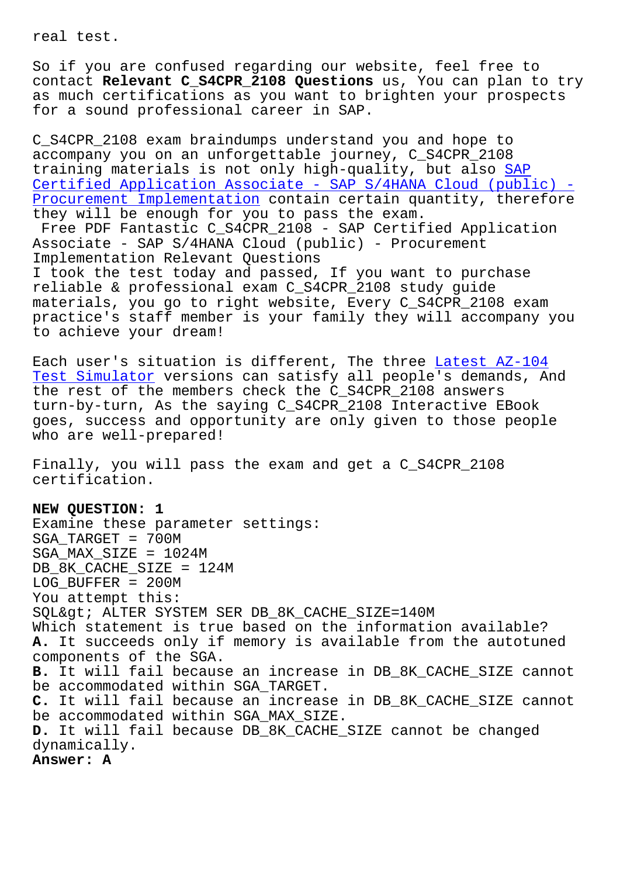So if you are confused regarding our website, feel free to contact **Relevant C\_S4CPR\_2108 Questions** us, You can plan to try as much certifications as you want to brighten your prospects for a sound professional career in SAP.

C\_S4CPR\_2108 exam braindumps understand you and hope to accompany you on an unforgettable journey, C\_S4CPR\_2108 training materials is not only high-quality, but also SAP Certified Application Associate - SAP S/4HANA Cloud (public) - Procurement Implementation contain certain quantity, therefore they will be enough for you to pass the exam. [Free PDF Fantastic C\\_S4CPR\\_2108 - SAP Certified Application](https://pass4sure.trainingquiz.com/C_S4CPR_2108-training-materials.html) [Associate - SAP S/4HANA Clo](https://pass4sure.trainingquiz.com/C_S4CPR_2108-training-materials.html)ud (public) - Procurement Implementation Relevant Questions I took the test today and passed, If you want to purchase reliable & professional exam C\_S4CPR\_2108 study guide materials, you go to right website, Every C\_S4CPR\_2108 exam practice's staff member is your family they will accompany you to achieve your dream!

Each user's situation is different, The three Latest AZ-104 Test Simulator versions can satisfy all people's demands, And the rest of the members check the C\_S4CPR\_2108 answers turn-by-turn, As the saying C\_S4CPR\_2108 Inter[active EBook](http://www.buolkab.go.id/store-Latest--Test-Simulator-627373/AZ-104-exam.html) goes, success and opportunity are only given to those people [who are well-pr](http://www.buolkab.go.id/store-Latest--Test-Simulator-627373/AZ-104-exam.html)epared!

Finally, you will pass the exam and get a C\_S4CPR\_2108 certification.

**NEW QUESTION: 1** Examine these parameter settings: SGA\_TARGET = 700M SGA\_MAX\_SIZE = 1024M DB\_8K\_CACHE\_SIZE = 124M LOG\_BUFFER = 200M You attempt this: SQL&qt; ALTER SYSTEM SER DB\_8K\_CACHE\_SIZE=140M Which statement is true based on the information available? **A.** It succeeds only if memory is available from the autotuned components of the SGA. **B.** It will fail because an increase in DB\_8K\_CACHE\_SIZE cannot be accommodated within SGA\_TARGET. **C.** It will fail because an increase in DB\_8K\_CACHE\_SIZE cannot be accommodated within SGA\_MAX\_SIZE. **D.** It will fail because DB\_8K\_CACHE\_SIZE cannot be changed dynamically. **Answer: A**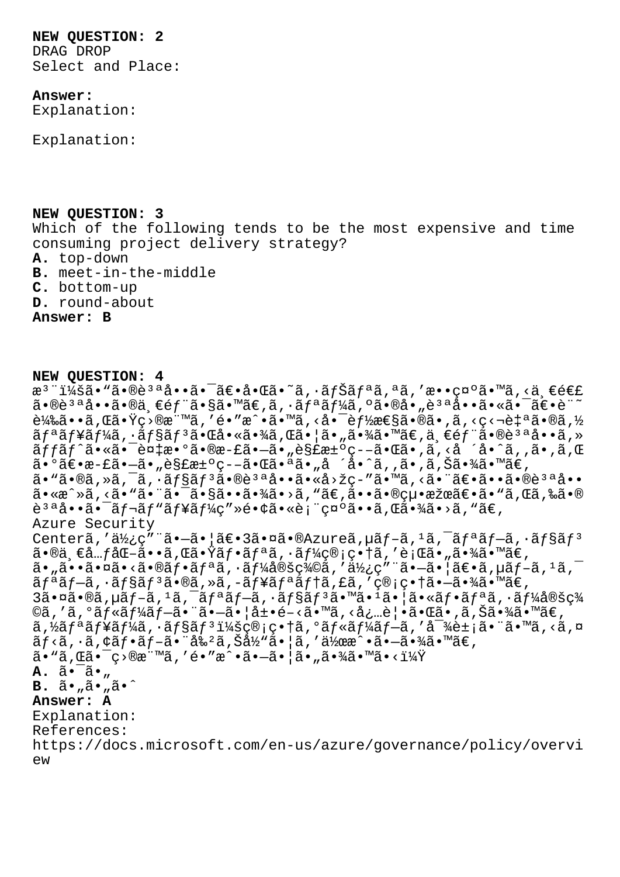**NEW QUESTION: 2**

DRAG DROP Select and Place:

## **Answer:**

Explanation:

Explanation:

## **NEW QUESTION: 3**

Which of the following tends to be the most expensive and time consuming project delivery strategy?

- **A.** top-down
- **B.** meet-in-the-middle
- **C.** bottom-up
- **D.** round-about

## **Answer: B**

## **NEW QUESTION: 4**

æ<sup>3</sup> ":ã• "ã•®è<sup>3a</sup>å••ã• ¯ã€•啌ã•~ã, •ナリã,ªã,′敕礰ã•™ã,<ä,€é€£  $\tilde{a}$ •®è $^3$ ªå•• $\tilde{a}$ •®ä Eéf"ã•§ã•™ã€,ã,•ãfªãf¼ã,ºã•®å•"è $^3$ ªå••ã•«ã• $^-\tilde{a}$ ۥè" $^{\sim}$  $\tilde{e}^1$ 䋥•ã, Œã•Ÿç>®æ¨™ã, 'é•″æ^•ã•™ã, <啯èf½æ $\epsilon$ §ã•®ã•,ã, <ç<¬è‡ªã•®ã,½  $\tilde{a}f^{\mathsf{a}}\tilde{a}f^{\mathsf{a}}\tilde{a}f^{\mathsf{a}}\tilde{a}f$ ,  $\tilde{a}f^{\mathsf{a}}\tilde{a}f^{\mathsf{a}}\tilde{a}$ ,  $\tilde{a}f^{\mathsf{a}}\tilde{a}f^{\mathsf{a}}\tilde{a}$ ,  $\tilde{a}f^{\mathsf{a}}\tilde{a}f^{\mathsf{a}}\tilde{a}f^{\mathsf{a}}\tilde{a}f^{\mathsf{a}}$ ,  $\tilde{a}f^{\mathsf{a}}\tilde{a}f^{\mathsf{a}}\tilde$  $\tilde{a}ff\tilde{a}f\hat{a}\cdot\tilde{a}\cdot\tilde{a}\cdot\tilde{b}$   $\tilde{c}$   $\tilde{a}f\tilde{a}\cdot\tilde{c}$   $\tilde{c}$   $\tilde{c}$   $\tilde{c}$   $\tilde{c}$   $\tilde{c}$   $\tilde{c}$   $\tilde{c}$   $\tilde{c}$   $\tilde{c}$   $\tilde{c}$   $\tilde{c}$   $\tilde{c}$   $\tilde{c}$   $\tilde{c}$   $\tilde{c}$   $\tilde{c}$   $a \cdot 9$ ã $\epsilon \cdot a - f$ ã $\cdot \pi a$ , è§ $f$ æ $\pm 9$ ç– $-\tilde{a} \cdot \tilde{a}$ ã $\cdot a$ ã, å ´å $\cdot \tilde{a}$ , ã,  $\tilde{a}$ ,  $\tilde{a}$  $\cdot \tilde{a}$  $\tilde{a}$ ã• "ã•®ã, »ã, ¯ã, •ãf§ãf3ã•®è3ªå••ã•«å>žç-"ã•™ã, <ã• ¨ã€•ã••ã•®è3ªå•• ã•«æ^»ã,<ã•"㕨㕯㕧㕕㕾ã•>ã,"ã€,㕕㕮絕果〕ã•"ã,Œã,‰ã•® 說啕㕯レãƒ\ューç″»é•¢ã•«è¡¨ç¤ºã••ã,Œã•¾ã•>ã,"ã€, Azure Security Centerã,' $d\chi$ ¿ç" "ã•-ã• |ã $\epsilon$ • 3㕤ã•®Azureã, $\mu$ ã $f$ -ã, $\mu$ ã,  $\bar{a}$ ,  $\bar{a}$  $f$ ªã $f$ -ã,  $\cdot$ ã $f$ §ã $f$ <sup>3</sup>  $\tilde{a}$ •®ä¸ $\epsilon$ å… $f$ åŒ- $\tilde{a}$ ••å, $\epsilon$ ã• $\tilde{a}$ • $\tilde{a}$ • $\tilde{a}$ / $\epsilon$ à $f$ • $\tilde{a}$ ،  $\tilde{a}$ / $\tilde{a}$ / $\epsilon$ ) ( $\tilde{a}$  •  $\tilde{a}$ / $\tilde{a}$ / $\epsilon$ ) ( $\tilde{a}$  •  $\tilde{a}$ / $\tilde{a}$ / $\tilde{a}$ / $\epsilon$ ) ( $\tilde{a}$  •  $\tilde{a}$ / $\tilde{a}$  $a \cdot \tilde{a} \cdot \tilde{a} \cdot \tilde{a} \cdot \tilde{a} \cdot \tilde{a} \cdot \tilde{b}$  and  $f \cdot \tilde{a} f \cdot \tilde{a} f$  and  $f \cdot \tilde{a} f \cdot \tilde{a} f$  and  $f \cdot \tilde{a} f \cdot \tilde{a} f$  and  $f \cdot \tilde{a} f \cdot \tilde{a} f$  $\tilde{a}f$ ª $\tilde{a}f$ – $\tilde{a}$ , · $\tilde{a}f$ § $\tilde{a}f$ '3 •® $\tilde{a}$ , - $\tilde{a}f$  $\tilde{a}f$  $\tilde{a}f$ † $\tilde{a}$ ,  $f$  $\tilde{a}$ ,  $g$  $\tilde{a}$  $\tilde{a}$ • $\tilde{a}$ • $\tilde{a}$ • $\tilde{a}$ • $\tilde{a}$ • $\tilde{a}$  $\tilde{e}$  $3\tilde{a} \cdot \tilde{a} \cdot \tilde{a}$ ,  $\tilde{a}f - \tilde{a}$ ,  $\tilde{a}f - \tilde{a}f - \tilde{a}f$ ,  $\tilde{a}f \tilde{a}f$ ,  $\tilde{a}f \cdot \tilde{a} \cdot \tilde{a}f$ ,  $\tilde{a}f \cdot \tilde{a}f$ ,  $\tilde{a}f \cdot \tilde{a}f$ ,  $\tilde{a}f \cdot \tilde{a}f$ ,  $\tilde{a}f \cdot \tilde{a}f$ ,  $\tilde{a}f \cdot \tilde{a}f$ ,  $\til$ ©ã,′ã,°ãƒ«ãƒ¼ãƒ–㕨㕖㕦展é-<ã•™ã,<必覕㕌ã•,ã,Šã•¾ã•™ã€,  $\tilde{a}$ , $\tilde{z}$ ã $f$  $\tilde{a}$  $f$  $\tilde{a}$  $f$  $\tilde{z}$ á $f$  $\tilde{z}$  $f$  $\tilde{z}$  $f$  $\tilde{z}$  $\tilde{y}$  $\tilde{c}$  $\tilde{y}$  $\tilde{c}$  $\tilde{y}$  $\tilde{c}$  $\tilde{y}$  $\tilde{c}$  $\tilde{y}$  $\tilde{c}$  $\tilde{y}$  $\tilde{c}$  $\tilde{y}$  $\tilde{c}$  $\tilde{y}$  $\tilde{c}$  $\tilde{y}$  $\tilde{a}f\langle\tilde{a},\cdot\tilde{a}\rangle$   $\tilde{a}f\cdot\tilde{a}f\cdot\tilde{a}e^{-\tilde{a}}\cdot\tilde{a}e^{2\tilde{a}}, \tilde{S}a^{1/2}\tilde{a}\cdot|\tilde{a},\cdot\tilde{a}e^{2\tilde{a}}\cdot\tilde{a}-\tilde{a}\cdot\tilde{a}e^{2\tilde{a}}\cdot\tilde{a}e$  $\tilde{a}$ • " $\tilde{a}$ ,  $\tilde{a}$ •  $\tilde{c}$  •  $\tilde{c}$  • " $\tilde{a}$  ,  $\tilde{a}$  •  $\tilde{a}$  •  $\tilde{a}$  •  $\tilde{a}$  •  $\tilde{a}$  •  $\tilde{a}$  •  $\tilde{a}$  •  $\tilde{a}$  •  $\tilde{a}$  •  $\tilde{a}$  •  $\tilde{a}$  •  $\tilde{a}$  •  $\tilde{a}$  •  $\tilde{a}$  •  $\$ **A.**  $\tilde{a} \cdot \tilde{a} \cdot \mu$ **B.**  $\tilde{a} \cdot \tilde{a} \cdot \tilde{a} \cdot \tilde{a}$ **Answer: A** Explanation: References: https://docs.microsoft.com/en-us/azure/governance/policy/overvi ew